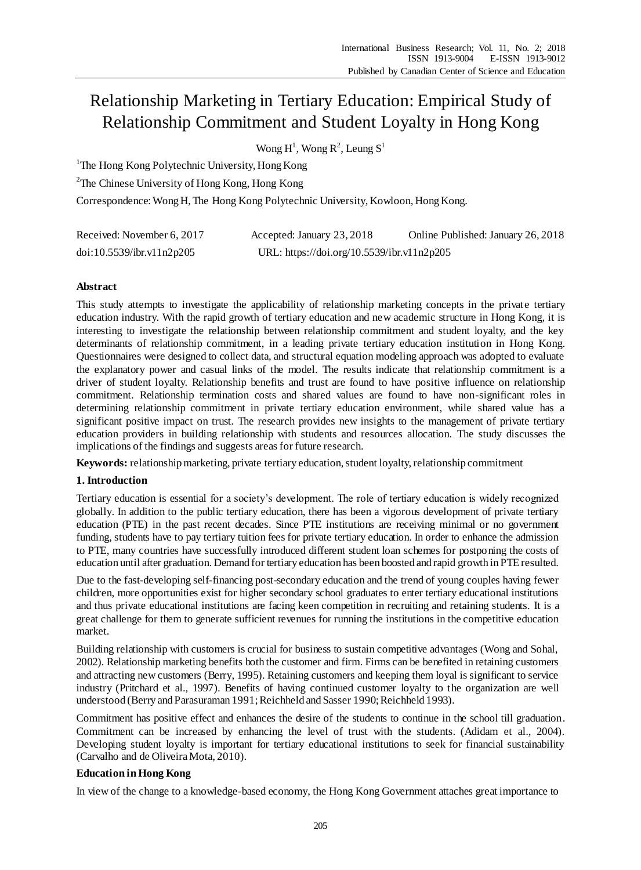# Relationship Marketing in Tertiary Education: Empirical Study of Relationship Commitment and Student Loyalty in Hong Kong

Wong  $H^1$ , Wong  $R^2$ , Leung  $S^1$ 

<sup>1</sup>The Hong Kong Polytechnic University, Hong Kong

<sup>2</sup>The Chinese University of Hong Kong, Hong Kong

Correspondence:Wong H, The Hong Kong Polytechnic University, Kowloon, Hong Kong.

| Received: November 6, 2017 | Accepted: January 23, 2018                 | Online Published: January 26, 2018 |
|----------------------------|--------------------------------------------|------------------------------------|
| doi:10.5539/ibr.v11n2p205  | URL: https://doi.org/10.5539/ibr.v11n2p205 |                                    |

# **Abstract**

This study attempts to investigate the applicability of relationship marketing concepts in the private tertiary education industry. With the rapid growth of tertiary education and new academic structure in Hong Kong, it is interesting to investigate the relationship between relationship commitment and student loyalty, and the key determinants of relationship commitment, in a leading private tertiary education institution in Hong Kong. Questionnaires were designed to collect data, and structural equation modeling approach was adopted to evaluate the explanatory power and casual links of the model. The results indicate that relationship commitment is a driver of student loyalty. Relationship benefits and trust are found to have positive influence on relationship commitment. Relationship termination costs and shared values are found to have non-significant roles in determining relationship commitment in private tertiary education environment, while shared value has a significant positive impact on trust. The research provides new insights to the management of private tertiary education providers in building relationship with students and resources allocation. The study discusses the implications of the findings and suggests areas for future research.

**Keywords:** relationship marketing, private tertiary education, student loyalty, relationship commitment

# **1. Introduction**

Tertiary education is essential for a society's development. The role of tertiary education is widely recognized globally. In addition to the public tertiary education, there has been a vigorous development of private tertiary education (PTE) in the past recent decades. Since PTE institutions are receiving minimal or no government funding, students have to pay tertiary tuition fees for private tertiary education. In order to enhance the admission to PTE, many countries have successfully introduced different student loan schemes for postponing the costs of education until after graduation. Demand for tertiary education has been boosted and rapid growth in PTE resulted.

Due to the fast-developing self-financing post-secondary education and the trend of young couples having fewer children, more opportunities exist for higher secondary school graduates to enter tertiary educational institutions and thus private educational institutions are facing keen competition in recruiting and retaining students. It is a great challenge for them to generate sufficient revenues for running the institutions in the competitive education market.

Building relationship with customers is crucial for business to sustain competitive advantages (Wong and Sohal, 2002). Relationship marketing benefits both the customer and firm. Firms can be benefited in retaining customers and attracting new customers (Berry, 1995). Retaining customers and keeping them loyal is significant to service industry (Pritchard et al., 1997). Benefits of having continued customer loyalty to the organization are well understood (Berry and Parasuraman 1991; Reichheld and Sasser 1990; Reichheld 1993).

Commitment has positive effect and enhances the desire of the students to continue in the school till graduation. Commitment can be increased by enhancing the level of trust with the students. (Adidam et al., 2004). Developing student loyalty is important for tertiary educational institutions to seek for financial sustainability (Carvalho and de Oliveira Mota, 2010).

# **Education in Hong Kong**

In view of the change to a knowledge-based economy, the Hong Kong Government attaches great importance to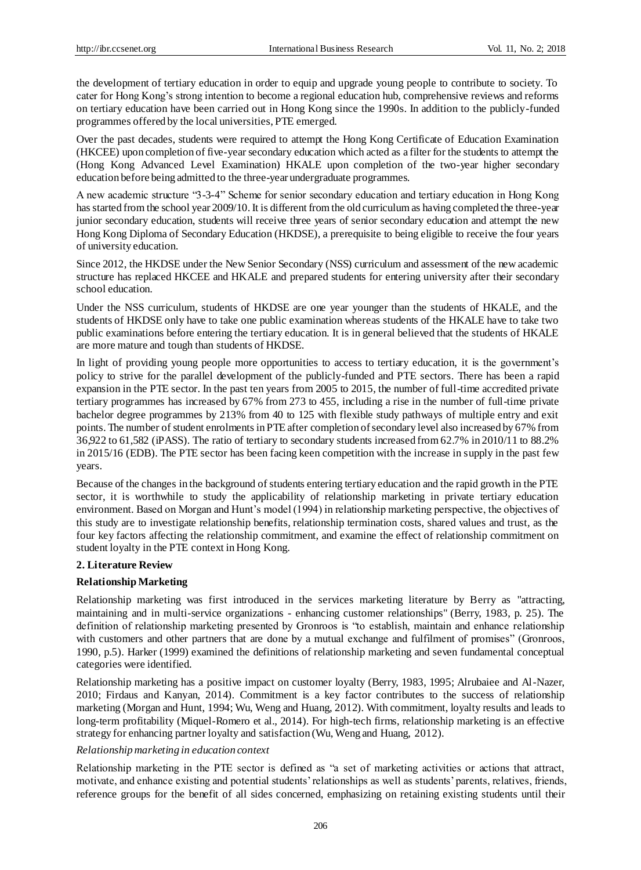the development of tertiary education in order to equip and upgrade young people to contribute to society. To cater for Hong Kong's strong intention to become a regional education hub, comprehensive reviews and reforms on tertiary education have been carried out in Hong Kong since the 1990s. In addition to the publicly-funded programmes offered by the local universities, PTE emerged.

Over the past decades, students were required to attempt the Hong Kong Certificate of Education Examination (HKCEE) upon completion of five-year secondary education which acted as a filter for the students to attempt the (Hong Kong Advanced Level Examination) HKALE upon completion of the two-year higher secondary education before being admitted to the three-year undergraduate programmes.

A new academic structure "3-3-4" Scheme for senior secondary education and tertiary education in Hong Kong has started from the school year 2009/10. It is different from the old curriculum as having completed the three-year junior secondary education, students will receive three years of senior secondary education and attempt the new Hong Kong Diploma of Secondary Education (HKDSE), a prerequisite to being eligible to receive the four years of university education.

Since 2012, the HKDSE under the New Senior Secondary (NSS) curriculum and assessment of the new academic structure has replaced HKCEE and HKALE and prepared students for entering university after their secondary school education.

Under the NSS curriculum, students of HKDSE are one year younger than the students of HKALE, and the students of HKDSE only have to take one public examination whereas students of the HKALE have to take two public examinations before entering the tertiary education. It is in general believed that the students of HKALE are more mature and tough than students of HKDSE.

In light of providing young people more opportunities to access to tertiary education, it is the government's policy to strive for the parallel development of the publicly-funded and PTE sectors. There has been a rapid expansion in the PTE sector. In the past ten years from 2005 to 2015, the number of full-time accredited private tertiary programmes has increased by 67% from 273 to 455, including a rise in the number of full-time private bachelor degree programmes by 213% from 40 to 125 with flexible study pathways of multiple entry and exit points. The number of student enrolments in PTE after completion of secondary level also increased by 67% from 36,922 to 61,582 (iPASS). The ratio of tertiary to secondary students increased from 62.7% in 2010/11 to 88.2% in 2015/16 (EDB). The PTE sector has been facing keen competition with the increase in supply in the past few years.

Because of the changes in the background of students entering tertiary education and the rapid growth in the PTE sector, it is worthwhile to study the applicability of relationship marketing in private tertiary education environment. Based on Morgan and Hunt's model (1994) in relationship marketing perspective, the objectives of this study are to investigate relationship benefits, relationship termination costs, shared values and trust, as the four key factors affecting the relationship commitment, and examine the effect of relationship commitment on student loyalty in the PTE context in Hong Kong.

# **2. Literature Review**

#### **Relationship Marketing**

Relationship marketing was first introduced in the services marketing literature by Berry as "attracting, maintaining and in multi-service organizations - enhancing customer relationships" (Berry, 1983, p. 25). The definition of relationship marketing presented by Gronroos is "to establish, maintain and enhance relationship with customers and other partners that are done by a mutual exchange and fulfilment of promises" (Gronroos, 1990, p.5). Harker (1999) examined the definitions of relationship marketing and seven fundamental conceptual categories were identified.

Relationship marketing has a positive impact on customer loyalty (Berry, 1983, 1995; Alrubaiee and Al-Nazer, 2010; Firdaus and Kanyan, 2014). Commitment is a key factor contributes to the success of relationship marketing (Morgan and Hunt, 1994; Wu, Weng and Huang, 2012). With commitment, loyalty results and leads to long-term profitability (Miquel-Romero et al., 2014). For high-tech firms, relationship marketing is an effective strategy for enhancing partner loyalty and satisfaction (Wu, Weng and Huang, 2012).

#### *Relationship marketing in education context*

Relationship marketing in the PTE sector is defined as "a set of marketing activities or actions that attract, motivate, and enhance existing and potential students' relationships as well as students' parents, relatives, friends, reference groups for the benefit of all sides concerned, emphasizing on retaining existing students until their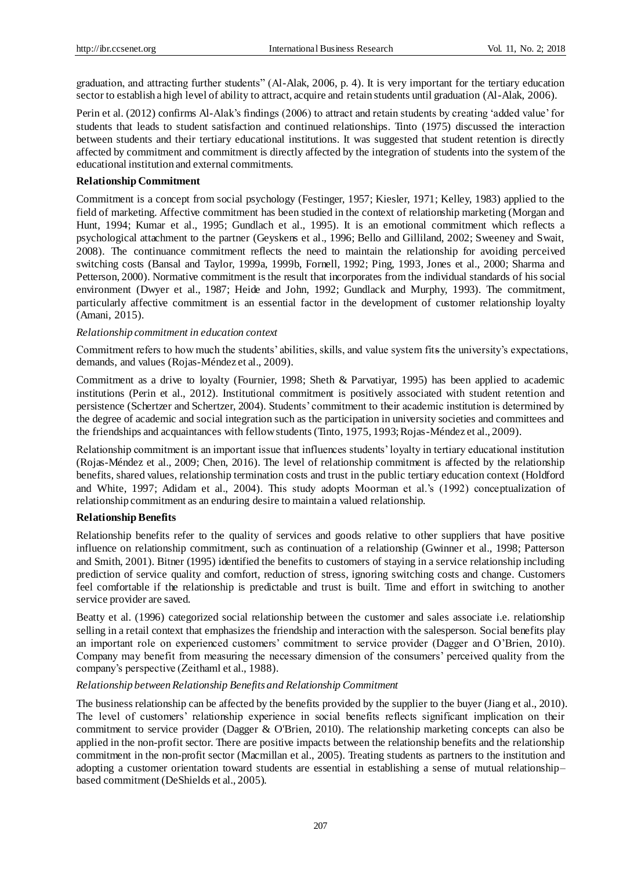graduation, and attracting further students" (Al-Alak, 2006, p. 4). It is very important for the tertiary education sector to establish a high level of ability to attract, acquire and retain students until graduation (Al-Alak, 2006).

Perin et al. (2012) confirms Al-Alak's findings (2006) to attract and retain students by creating 'added value' for students that leads to student satisfaction and continued relationships. Tinto (1975) discussed the interaction between students and their tertiary educational institutions. It was suggested that student retention is directly affected by commitment and commitment is directly affected by the integration of students into the system of the educational institution and external commitments.

# **Relationship Commitment**

Commitment is a concept from social psychology (Festinger, 1957; Kiesler, 1971; Kelley, 1983) applied to the field of marketing. Affective commitment has been studied in the context of relationship marketing (Morgan and Hunt, 1994; Kumar et al., 1995; Gundlach et al., 1995). It is an emotional commitment which reflects a psychological attachment to the partner (Geyskens et al., 1996; Bello and Gilliland, 2002; Sweeney and Swait, 2008). The continuance commitment reflects the need to maintain the relationship for avoiding perceived switching costs (Bansal and Taylor, 1999a, 1999b, Fornell, 1992; Ping, 1993, Jones et al., 2000; Sharma and Petterson, 2000). Normative commitment is the result that incorporates from the individual standards of his social environment (Dwyer et al., 1987; Heide and John, 1992; Gundlack and Murphy, 1993). The commitment, particularly affective commitment is an essential factor in the development of customer relationship loyalty (Amani, 2015).

# *Relationship commitment in education context*

Commitment refers to how much the students' abilities, skills, and value system fits the university's expectations, demands, and values (Rojas-Méndez et al., 2009).

Commitment as a drive to loyalty (Fournier, 1998; Sheth & Parvatiyar, 1995) has been applied to academic institutions (Perin et al., 2012). Institutional commitment is positively associated with student retention and persistence (Schertzer and Schertzer, 2004). Students' commitment to their academic institution is determined by the degree of academic and social integration such as the participation in university societies and committees and the friendships and acquaintances with fellow students (Tinto, 1975, 1993; Rojas-Méndez et al., 2009).

Relationship commitment is an important issue that influences students' loyalty in tertiary educational institution (Rojas-Méndez et al., 2009; Chen, 2016). The level of relationship commitment is affected by the relationship benefits, shared values, relationship termination costs and trust in the public tertiary education context (Holdford and White, 1997; Adidam et al., 2004). This study adopts Moorman et al.'s (1992) conceptualization of relationship commitment as an enduring desire to maintain a valued relationship.

# **Relationship Benefits**

Relationship benefits refer to the quality of services and goods relative to other suppliers that have positive influence on relationship commitment, such as continuation of a relationship (Gwinner et al., 1998; Patterson and Smith, 2001). Bitner (1995) identified the benefits to customers of staying in a service relationship including prediction of service quality and comfort, reduction of stress, ignoring switching costs and change. Customers feel comfortable if the relationship is predictable and trust is built. Time and effort in switching to another service provider are saved.

Beatty et al. (1996) categorized social relationship between the customer and sales associate i.e. relationship selling in a retail context that emphasizes the friendship and interaction with the salesperson. Social benefits play an important role on experienced customers' commitment to service provider (Dagger and O'Brien, 2010). Company may benefit from measuring the necessary dimension of the consumers' perceived quality from the company's perspective (Zeithaml et al., 1988).

# *Relationship between Relationship Benefits and Relationship Commitment*

The business relationship can be affected by the benefits provided by the supplier to the buyer (Jiang et al., 2010). The level of customers' relationship experience in social benefits reflects significant implication on their commitment to service provider (Dagger & O'Brien, 2010). The relationship marketing concepts can also be applied in the non-profit sector. There are positive impacts between the relationship benefits and the relationship commitment in the non-profit sector (Macmillan et al., 2005). Treating students as partners to the institution and adopting a customer orientation toward students are essential in establishing a sense of mutual relationship– based commitment (DeShields et al., 2005).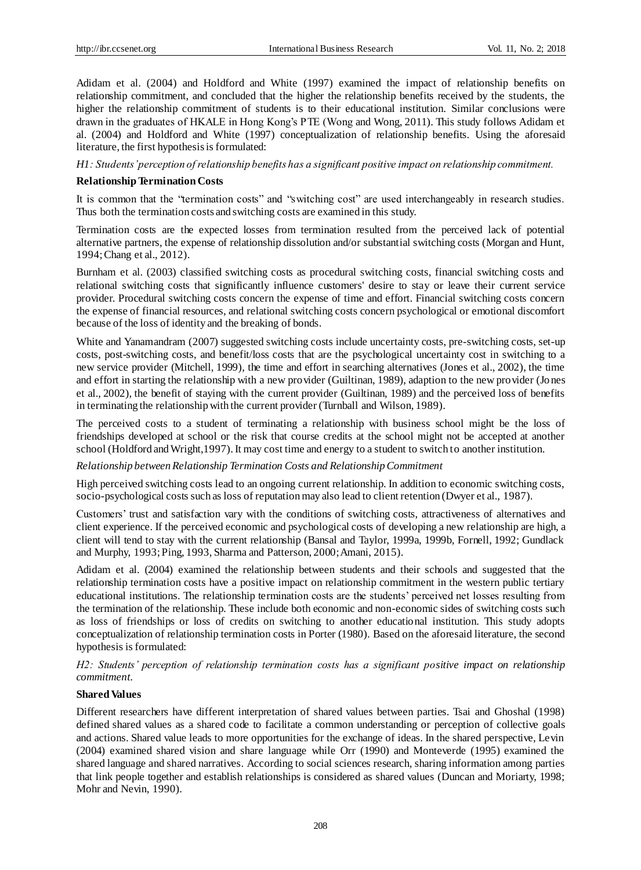Adidam et al. (2004) and Holdford and White (1997) examined the impact of relationship benefits on relationship commitment, and concluded that the higher the relationship benefits received by the students, the higher the relationship commitment of students is to their educational institution. Similar conclusions were drawn in the graduates of HKALE in Hong Kong's PTE (Wong and Wong, 2011). This study follows Adidam et al. (2004) and Holdford and White (1997) conceptualization of relationship benefits. Using the aforesaid literature, the first hypothesis is formulated:

*H1: Students' perception of relationship benefits has a significant positive impact on relationship commitment.*

#### **Relationship Termination Costs**

It is common that the "termination costs" and "switching cost" are used interchangeably in research studies. Thus both the termination costs and switching costs are examined in this study.

Termination costs are the expected losses from termination resulted from the perceived lack of potential alternative partners, the expense of relationship dissolution and/or substantial switching costs (Morgan and Hunt, 1994; Chang et al., 2012).

Burnham et al. (2003) classified switching costs as procedural switching costs, financial switching costs and relational switching costs that significantly influence customers' desire to stay or leave their current service provider. Procedural switching costs concern the expense of time and effort. Financial switching costs concern the expense of financial resources, and relational switching costs concern psychological or emotional discomfort because of the loss of identity and the breaking of bonds.

White and Yanamandram (2007) suggested switching costs include uncertainty costs, pre-switching costs, set-up costs, post-switching costs, and benefit/loss costs that are the psychological uncertainty cost in switching to a new service provider (Mitchell, 1999), the time and effort in searching alternatives (Jones et al., 2002), the time and effort in starting the relationship with a new provider (Guiltinan, 1989), adaption to the new provider (Jones et al., 2002), the benefit of staying with the current provider (Guiltinan, 1989) and the perceived loss of benefits in terminating the relationship with the current provider (Turnball and Wilson, 1989).

The perceived costs to a student of terminating a relationship with business school might be the loss of friendships developed at school or the risk that course credits at the school might not be accepted at another school (Holdford and Wright,1997). It may cost time and energy to a student to switch to another institution.

#### *Relationship between Relationship Termination Costs and Relationship Commitment*

High perceived switching costs lead to an ongoing current relationship. In addition to economic switching costs, socio-psychological costs such as loss of reputation may also lead to client retention (Dwyer et al., 1987).

Customers' trust and satisfaction vary with the conditions of switching costs, attractiveness of alternatives and client experience. If the perceived economic and psychological costs of developing a new relationship are high, a client will tend to stay with the current relationship (Bansal and Taylor, 1999a, 1999b, Fornell, 1992; Gundlack and Murphy, 1993; Ping, 1993, Sharma and Patterson, 2000;Amani, 2015).

Adidam et al. (2004) examined the relationship between students and their schools and suggested that the relationship termination costs have a positive impact on relationship commitment in the western public tertiary educational institutions. The relationship termination costs are the students' perceived net losses resulting from the termination of the relationship. These include both economic and non-economic sides of switching costs such as loss of friendships or loss of credits on switching to another educational institution. This study adopts conceptualization of relationship termination costs in Porter (1980). Based on the aforesaid literature, the second hypothesis is formulated:

*H2: Students' perception of relationship termination costs has a significant positive impact on relationship commitment.*

#### **Shared Values**

Different researchers have different interpretation of shared values between parties. Tsai and Ghoshal (1998) defined shared values as a shared code to facilitate a common understanding or perception of collective goals and actions. Shared value leads to more opportunities for the exchange of ideas. In the shared perspective, Levin (2004) examined shared vision and share language while Orr (1990) and Monteverde (1995) examined the shared language and shared narratives. According to social sciences research, sharing information among parties that link people together and establish relationships is considered as shared values (Duncan and Moriarty, 1998; Mohr and Nevin, 1990).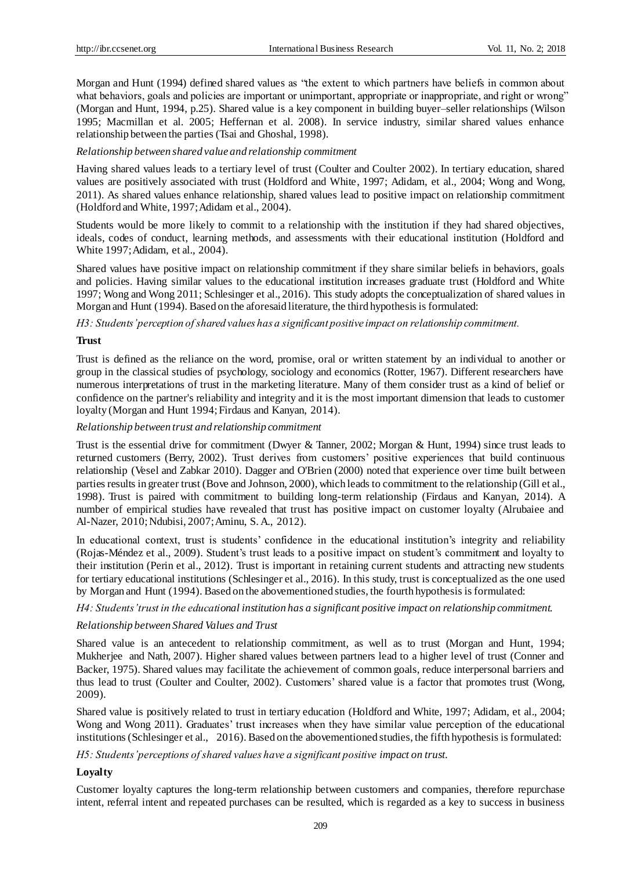Morgan and Hunt (1994) defined shared values as "the extent to which partners have beliefs in common about what behaviors, goals and policies are important or unimportant, appropriate or inappropriate, and right or wrong" (Morgan and Hunt, 1994, p.25). Shared value is a key component in building buyer–seller relationships (Wilson 1995; Macmillan et al. 2005; Heffernan et al. 2008). In service industry, similar shared values enhance relationship between the parties (Tsai and Ghoshal, 1998).

#### *Relationship between shared value and relationship commitment*

Having shared values leads to a tertiary level of trust (Coulter and Coulter 2002). In tertiary education, shared values are positively associated with trust (Holdford and White, 1997; Adidam, et al., 2004; Wong and Wong, 2011). As shared values enhance relationship, shared values lead to positive impact on relationship commitment (Holdford and White, 1997; Adidam et al., 2004).

Students would be more likely to commit to a relationship with the institution if they had shared objectives, ideals, codes of conduct, learning methods, and assessments with their educational institution (Holdford and White 1997; Adidam, et al., 2004).

Shared values have positive impact on relationship commitment if they share similar beliefs in behaviors, goals and policies. Having similar values to the educational institution increases graduate trust (Holdford and White 1997; Wong and Wong 2011; Schlesinger et al., 2016). This study adopts the conceptualization of shared values in Morgan and Hunt (1994). Based on the aforesaid literature, the third hypothesis is formulated:

*H3: Students' perception of shared values has a significant positive impact on relationship commitment.*

# **Trust**

Trust is defined as the reliance on the word, promise, oral or written statement by an individual to another or group in the classical studies of psychology, sociology and economics (Rotter, 1967). Different researchers have numerous interpretations of trust in the marketing literature. Many of them consider trust as a kind of belief or confidence on the partner's reliability and integrity and it is the most important dimension that leads to customer loyalty (Morgan and Hunt 1994; Firdaus and Kanyan, 2014).

*Relationship between trust and relationship commitment*

Trust is the essential drive for commitment (Dwyer & Tanner, 2002; Morgan & Hunt, 1994) since trust leads to returned customers (Berry, 2002). Trust derives from customers' positive experiences that build continuous relationship (Vesel and Zabkar 2010). Dagger and O'Brien (2000) noted that experience over time built between parties results in greater trust (Bove and Johnson, 2000), which leads to commitment to the relationship (Gill et al., 1998). Trust is paired with commitment to building long-term relationship (Firdaus and Kanyan, 2014). A number of empirical studies have revealed that trust has positive impact on customer loyalty (Alrubaiee and Al-Nazer, 2010; Ndubisi, 2007; Aminu, S. A., 2012).

In educational context, trust is students' confidence in the educational institution's integrity and reliability (Rojas-Méndez et al., 2009). Student's trust leads to a positive impact on student's commitment and loyalty to their institution (Perin et al., 2012). Trust is important in retaining current students and attracting new students for tertiary educational institutions (Schlesinger et al., 2016). In this study, trust is conceptualized as the one used by Morgan and Hunt (1994). Based on the abovementioned studies, the fourth hypothesis is formulated:

*H4: Students' trust in the educational institution has a significant positive impact on relationship commitment.*

#### *Relationship between Shared Values and Trust*

Shared value is an antecedent to relationship commitment, as well as to trust (Morgan and Hunt, 1994; Mukherjee and Nath, 2007). Higher shared values between partners lead to a higher level of trust (Conner and Backer, 1975). Shared values may facilitate the achievement of common goals, reduce interpersonal barriers and thus lead to trust (Coulter and Coulter, 2002). Customers' shared value is a factor that promotes trust (Wong, 2009).

Shared value is positively related to trust in tertiary education (Holdford and White, 1997; Adidam, et al., 2004; Wong and Wong 2011). Graduates' trust increases when they have similar value perception of the educational institutions [\(Schlesinger](http://onesearch.lib.polyu.edu.hk/primo_library/libweb/action/search.do?vl(freeText0)=Schlesinger%2c+Walesska+&vl(13462766UI0)=creator&vl(1UIStartWith0)=exact&fn=search&tab=eresources&mode=Advanced&vid=HKPU&scp.scps=primo_central_multiple_fe) et al., 2016). Based on the abovementioned studies, the fifth hypothesis is formulated:

*H5: Students' perceptions of shared values have a significant positive impact on trust.*

# **Loyalty**

Customer loyalty captures the long-term relationship between customers and companies, therefore repurchase intent, referral intent and repeated purchases can be resulted, which is regarded as a key to success in business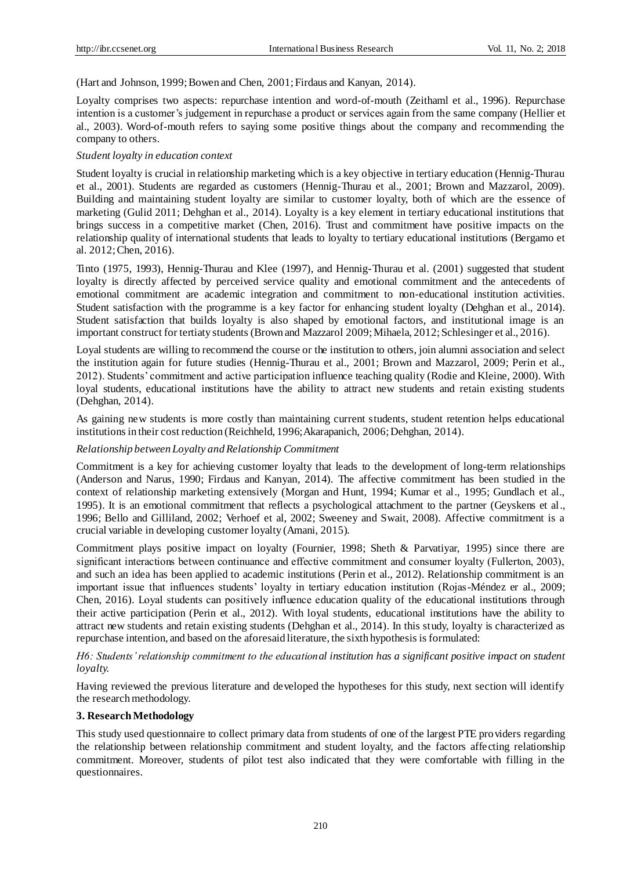(Hart and Johnson, 1999; Bowen and Chen, 2001; Firdaus and Kanyan, 2014).

Loyalty comprises two aspects: repurchase intention and word-of-mouth (Zeithaml et al., 1996). Repurchase intention is a customer's judgement in repurchase a product or services again from the same company (Hellier et al., 2003). Word-of-mouth refers to saying some positive things about the company and recommending the company to others.

# *Student loyalty in education context*

Student loyalty is crucial in relationship marketing which is a key objective in tertiary education (Hennig-Thurau et al., 2001). Students are regarded as customers (Hennig-Thurau et al., 2001; Brown and Mazzarol, 2009). Building and maintaining student loyalty are similar to customer loyalty, both of which are the essence of marketing (Gulid 2011; Dehghan et al., 2014). Loyalty is a key element in tertiary educational institutions that brings success in a competitive market (Chen, 2016). Trust and commitment have positive impacts on the relationship quality of international students that leads to loyalty to tertiary educational institutions (Bergamo et al. 2012; Chen, 2016).

Tinto (1975, 1993), Hennig-Thurau and Klee (1997), and Hennig-Thurau et al. (2001) suggested that student loyalty is directly affected by perceived service quality and emotional commitment and the antecedents of emotional commitment are academic integration and commitment to non-educational institution activities. Student satisfaction with the programme is a key factor for enhancing student loyalty (Dehghan et al., 2014). Student satisfaction that builds loyalty is also shaped by emotional factors, and institutional image is an important construct for tertiaty students (Brown and Mazzarol 2009; Mihaela, 2012; Schlesinger et al., 2016).

Loyal students are willing to recommend the course or the institution to others, join alumni association and select the institution again for future studies (Hennig-Thurau et al., 2001; Brown and Mazzarol, 2009; Perin et al., 2012). Students' commitment and active participation influence teaching quality (Rodie and Kleine, 2000). With loyal students, educational institutions have the ability to attract new students and retain existing students (Dehghan, 2014).

As gaining new students is more costly than maintaining current students, student retention helps educational institutions in their cost reduction (Reichheld, 1996; Akarapanich, 2006; Dehghan, 2014).

# *Relationship between Loyalty and Relationship Commitment*

Commitment is a key for achieving customer loyalty that leads to the development of long-term relationships (Anderson and Narus, 1990; Firdaus and Kanyan, 2014). The affective commitment has been studied in the context of relationship marketing extensively (Morgan and Hunt, 1994; Kumar et al., 1995; Gundlach et al., 1995). It is an emotional commitment that reflects a psychological attachment to the partner (Geyskens et al., 1996; Bello and Gilliland, 2002; Verhoef et al, 2002; Sweeney and Swait, 2008). Affective commitment is a crucial variable in developing customer loyalty (Amani, 2015).

Commitment plays positive impact on loyalty (Fournier, 1998; Sheth & Parvatiyar, 1995) since there are significant interactions between continuance and effective commitment and consumer loyalty (Fullerton, 2003), and such an idea has been applied to academic institutions (Perin et al., 2012). Relationship commitment is an important issue that influences students' loyalty in tertiary education institution (Rojas-Méndez er al., 2009; Chen, 2016). Loyal students can positively influence education quality of the educational institutions through their active participation (Perin et al., 2012). With loyal students, educational institutions have the ability to attract new students and retain existing students (Dehghan et al., 2014). In this study, loyalty is characterized as repurchase intention, and based on the aforesaid literature, the sixth hypothesis is formulated:

*H6: Students' relationship commitment to the educational institution has a significant positive impact on student loyalty.*

Having reviewed the previous literature and developed the hypotheses for this study, next section will identify the research methodology.

# **3. Research Methodology**

This study used questionnaire to collect primary data from students of one of the largest PTE providers regarding the relationship between relationship commitment and student loyalty, and the factors affecting relationship commitment. Moreover, students of pilot test also indicated that they were comfortable with filling in the questionnaires.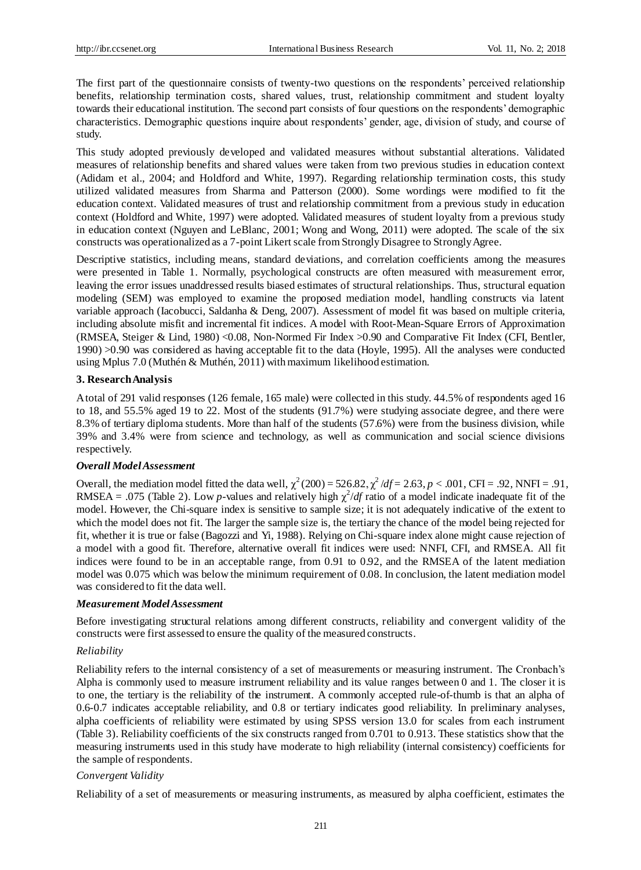The first part of the questionnaire consists of twenty-two questions on the respondents' perceived relationship benefits, relationship termination costs, shared values, trust, relationship commitment and student loyalty towards their educational institution. The second part consists of four questions on the respondents' demographic characteristics. Demographic questions inquire about respondents' gender, age, division of study, and course of study.

This study adopted previously developed and validated measures without substantial alterations. Validated measures of relationship benefits and shared values were taken from two previous studies in education context (Adidam et al., 2004; and Holdford and White, 1997). Regarding relationship termination costs, this study utilized validated measures from Sharma and Patterson (2000). Some wordings were modified to fit the education context. Validated measures of trust and relationship commitment from a previous study in education context (Holdford and White, 1997) were adopted. Validated measures of student loyalty from a previous study in education context (Nguyen and LeBlanc, 2001; Wong and Wong, 2011) were adopted. The scale of the six constructs was operationalized as a 7-point Likert scale from Strongly Disagree to Strongly Agree.

Descriptive statistics, including means, standard deviations, and correlation coefficients among the measures were presented in Table 1. Normally, psychological constructs are often measured with measurement error, leaving the error issues unaddressed results biased estimates of structural relationships. Thus, structural equation modeling (SEM) was employed to examine the proposed mediation model, handling constructs via latent variable approach (Iacobucci, Saldanha & Deng, 2007). Assessment of model fit was based on multiple criteria, including absolute misfit and incremental fit indices. A model with Root-Mean-Square Errors of Approximation (RMSEA, Steiger & Lind, 1980) <0.08, Non-Normed Fir Index >0.90 and Comparative Fit Index (CFI, Bentler, 1990) >0.90 was considered as having acceptable fit to the data (Hoyle, 1995). All the analyses were conducted using Mplus 7.0 (Muthén & Muthén, 2011) with maximum likelihood estimation.

#### **3. Research Analysis**

A total of 291 valid responses (126 female, 165 male) were collected in this study. 44.5% of respondents aged 16 to 18, and 55.5% aged 19 to 22. Most of the students (91.7%) were studying associate degree, and there were 8.3% of tertiary diploma students. More than half of the students (57.6%) were from the business division, while 39% and 3.4% were from science and technology, as well as communication and social science divisions respectively.

#### *Overall Model Assessment*

Overall, the mediation model fitted the data well,  $\chi^2(200) = 526.82$ ,  $\chi^2/df = 2.63$ ,  $p < .001$ , CFI = .92, NNFI = .91, RMSEA = .075 (Table 2). Low *p*-values and relatively high  $\chi^2/df$  ratio of a model indicate inadequate fit of the model. However, the Chi-square index is sensitive to sample size; it is not adequately indicative of the extent to which the model does not fit. The larger the sample size is, the tertiary the chance of the model being rejected for fit, whether it is true or false (Bagozzi and Yi, 1988). Relying on Chi-square index alone might cause rejection of a model with a good fit. Therefore, alternative overall fit indices were used: NNFI, CFI, and RMSEA. All fit indices were found to be in an acceptable range, from 0.91 to 0.92, and the RMSEA of the latent mediation model was 0.075 which was below the minimum requirement of 0.08. In conclusion, the latent mediation model was considered to fit the data well.

#### *Measurement Model Assessment*

Before investigating structural relations among different constructs, reliability and convergent validity of the constructs were first assessed to ensure the quality of the measured constructs.

#### *Reliability*

Reliability refers to the internal consistency of a set of measurements or measuring instrument. The Cronbach's Alpha is commonly used to measure instrument reliability and its value ranges between 0 and 1. The closer it is to one, the tertiary is the reliability of the instrument. A commonly accepted rule-of-thumb is that an alpha of 0.6-0.7 indicates acceptable reliability, and 0.8 or tertiary indicates good reliability. In preliminary analyses, alpha coefficients of reliability were estimated by using SPSS version 13.0 for scales from each instrument (Table 3). Reliability coefficients of the six constructs ranged from 0.701 to 0.913. These statistics show that the measuring instruments used in this study have moderate to high reliability (internal consistency) coefficients for the sample of respondents.

#### *Convergent Validity*

Reliability of a set of measurements or measuring instruments, as measured by alpha coefficient, estimates the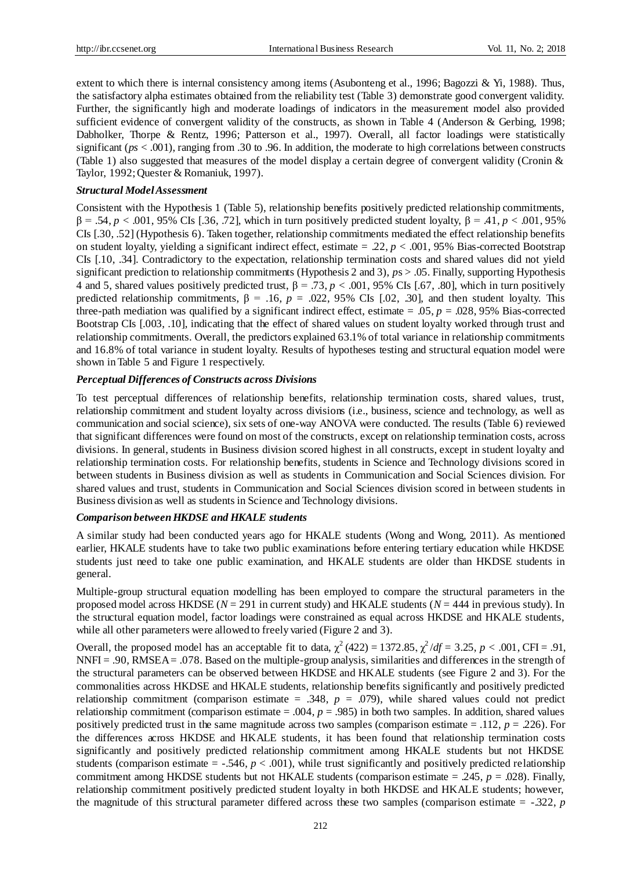extent to which there is internal consistency among items (Asubonteng et al., 1996; Bagozzi & Yi, 1988). Thus, the satisfactory alpha estimates obtained from the reliability test (Table 3) demonstrate good convergent validity. Further, the significantly high and moderate loadings of indicators in the measurement model also provided sufficient evidence of convergent validity of the constructs, as shown in Table 4 (Anderson & Gerbing, 1998; Dabholker, Thorpe & Rentz, 1996; Patterson et al., 1997). Overall, all factor loadings were statistically significant (*ps* < .001), ranging from .30 to .96. In addition, the moderate to high correlations between constructs (Table 1) also suggested that measures of the model display a certain degree of convergent validity (Cronin & Taylor, 1992; Quester & Romaniuk, 1997).

#### *Structural Model Assessment*

Consistent with the Hypothesis 1 (Table 5), relationship benefits positively predicted relationship commitments,  $β = .54, p < .001, 95%$  CIs [.36, .72], which in turn positively predicted student loyalty,  $β = .41, p < .001, 95%$ CIs [.30, .52] (Hypothesis 6). Taken together, relationship commitments mediated the effect relationship benefits on student loyalty, yielding a significant indirect effect, estimate = .22, *p* < .001, 95% Bias-corrected Bootstrap CIs [.10, .34]. Contradictory to the expectation, relationship termination costs and shared values did not yield significant prediction to relationship commitments (Hypothesis 2 and 3), *p*s > .05. Finally, supporting Hypothesis 4 and 5, shared values positively predicted trust, β = .73, *p* < .001, 95% CIs [.67, .80], which in turn positively predicted relationship commitments,  $\beta = .16$ ,  $p = .022$ , 95% CIs [.02, .30], and then student loyalty. This three-path mediation was qualified by a significant indirect effect, estimate  $= .05, p = .028, 95\%$  Bias-corrected Bootstrap CIs [.003, .10], indicating that the effect of shared values on student loyalty worked through trust and relationship commitments. Overall, the predictors explained 63.1% of total variance in relationship commitments and 16.8% of total variance in student loyalty. Results of hypotheses testing and structural equation model were shown in Table 5 and Figure 1 respectively.

# *Perceptual Differences of Constructs across Divisions*

To test perceptual differences of relationship benefits, relationship termination costs, shared values, trust, relationship commitment and student loyalty across divisions (i.e., business, science and technology, as well as communication and social science), six sets of one-way ANOVA were conducted. The results (Table 6) reviewed that significant differences were found on most of the constructs, except on relationship termination costs, across divisions. In general, students in Business division scored highest in all constructs, except in student loyalty and relationship termination costs. For relationship benefits, students in Science and Technology divisions scored in between students in Business division as well as students in Communication and Social Sciences division. For shared values and trust, students in Communication and Social Sciences division scored in between students in Business division as well as students in Science and Technology divisions.

# *Comparison between HKDSE and HKALE students*

A similar study had been conducted years ago for HKALE students (Wong and Wong, 2011). As mentioned earlier, HKALE students have to take two public examinations before entering tertiary education while HKDSE students just need to take one public examination, and HKALE students are older than HKDSE students in general.

Multiple-group structural equation modelling has been employed to compare the structural parameters in the proposed model across HKDSE (*N* = 291 in current study) and HKALE students (*N* = 444 in previous study). In the structural equation model, factor loadings were constrained as equal across HKDSE and HKALE students, while all other parameters were allowed to freely varied (Figure 2 and 3).

Overall, the proposed model has an acceptable fit to data,  $\chi^2(422) = 1372.85$ ,  $\chi^2/df = 3.25$ ,  $p < .001$ , CFI = .91, NNFI = .90, RMSEA = .078. Based on the multiple-group analysis, similarities and differences in the strength of the structural parameters can be observed between HKDSE and HKALE students (see Figure 2 and 3). For the commonalities across HKDSE and HKALE students, relationship benefits significantly and positively predicted relationship commitment (comparison estimate  $= .348$ ,  $p = .079$ ), while shared values could not predict relationship commitment (comparison estimate  $= .004$ ,  $p = .985$ ) in both two samples. In addition, shared values positively predicted trust in the same magnitude across two samples (comparison estimate = .112, *p* = .226). For the differences across HKDSE and HKALE students, it has been found that relationship termination costs significantly and positively predicted relationship commitment among HKALE students but not HKDSE students (comparison estimate  $=$  -.546,  $p < .001$ ), while trust significantly and positively predicted relationship commitment among HKDSE students but not HKALE students (comparison estimate  $=$  .245,  $p = .028$ ). Finally, relationship commitment positively predicted student loyalty in both HKDSE and HKALE students; however, the magnitude of this structural parameter differed across these two samples (comparison estimate = -.322, *p*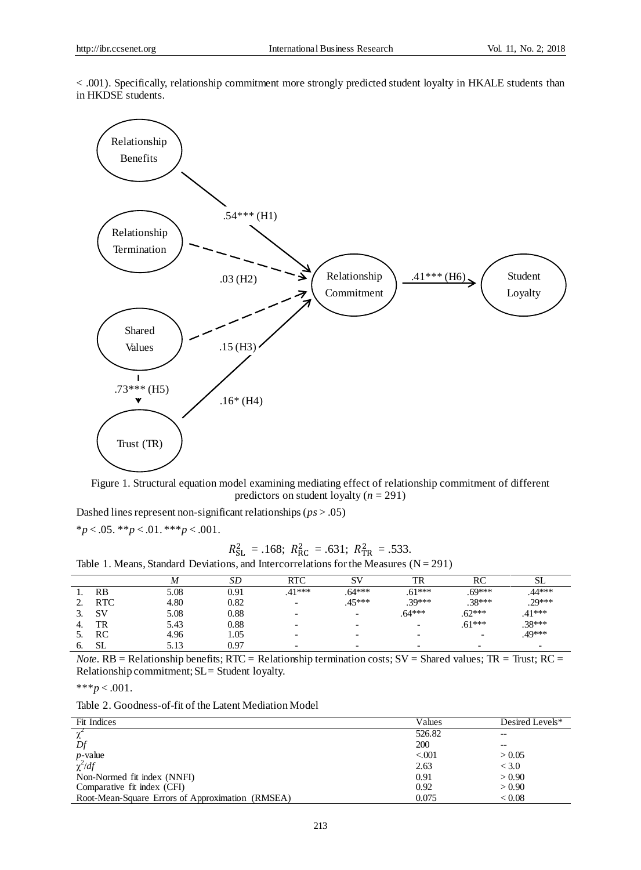< .001). Specifically, relationship commitment more strongly predicted student loyalty in HKALE students than in HKDSE students.



Figure 1*.* Structural equation model examining mediating effect of relationship commitment of different predictors on student loyalty (*n* = 291)

Dashed lines represent non-significant relationships (*ps* > .05)

$$
*p < .05. \cdot * \cdot p < .01. \cdot * \cdot \cdot p < .001.
$$

# $R_{\rm SL}^2 = .168; R_{\rm RC}^2 = .631; R_{\rm TR}^2 = .533.$

|  |  |  | Table 1. Means, Standard Deviations, and Intercorrelations for the Measures ( $N = 291$ ) |  |  |  |  |  |  |  |
|--|--|--|-------------------------------------------------------------------------------------------|--|--|--|--|--|--|--|
|--|--|--|-------------------------------------------------------------------------------------------|--|--|--|--|--|--|--|

|    |            |      | SD   | RTC                      | S٧                       | TR                       | RC                       | ىلە      |
|----|------------|------|------|--------------------------|--------------------------|--------------------------|--------------------------|----------|
|    | RB         | 5.08 | 0.91 | $.41***$                 | $.64***$                 | $.61***$                 | $.69***$                 | .44***   |
|    | <b>RTC</b> | 4.80 | 0.82 | $\overline{\phantom{0}}$ | $.45***$                 | $.39***$                 | $.38***$                 | $.29***$ |
| J. | <b>SV</b>  | 5.08 | 0.88 | $\overline{\phantom{0}}$ | $\overline{\phantom{0}}$ | $.64***$                 | $.62***$                 | $.41***$ |
| 4. | TR         | 5.43 | 0.88 | $\overline{\phantom{0}}$ | $\overline{\phantom{0}}$ |                          | $.61***$                 | $.38***$ |
|    | RC         | 4.96 | 1.05 | -                        | $\overline{\phantom{0}}$ |                          | $\overline{\phantom{0}}$ | $.49***$ |
| b. | <b>SL</b>  | 5.13 | 0.97 | $\overline{\phantom{0}}$ | $\overline{\phantom{0}}$ | $\overline{\phantom{0}}$ |                          | -        |

*Note.*  $RB = Relationship benefits; RTC = Relationship terminating the remaining costs; SV = Shared values; TR = Trust; RC = 1000; K = 1000; K = 1000; K = 1000; K = 1000; K = 1000; K = 1000; K = 1000; K = 1000; K = 1000; K = 1000; K = 1000; K = 1000; K = 1000; K = 1000; K = 1000; K = 1000; K = 1000; K = 1000; K = 1000; K = 1000; K = 1000; K = 1000; K$ Relationship commitment; SL = Student loyalty.

\*\*\**p* < .001.

Table 2. Goodness-of-fit of the Latent Mediation Model

| Fit Indices                                      | Values  | Desired Levels* |
|--------------------------------------------------|---------|-----------------|
|                                                  | 526.82  | $- -$           |
| Df                                               | 200     | $- -$           |
| $p$ -value                                       | < 0.001 | > 0.05          |
| $\chi^2/df$                                      | 2.63    | < 3.0           |
| Non-Normed fit index (NNFI)                      | 0.91    | > 0.90          |
| Comparative fit index (CFI)                      | 0.92    | > 0.90          |
| Root-Mean-Square Errors of Approximation (RMSEA) | 0.075   | < 0.08          |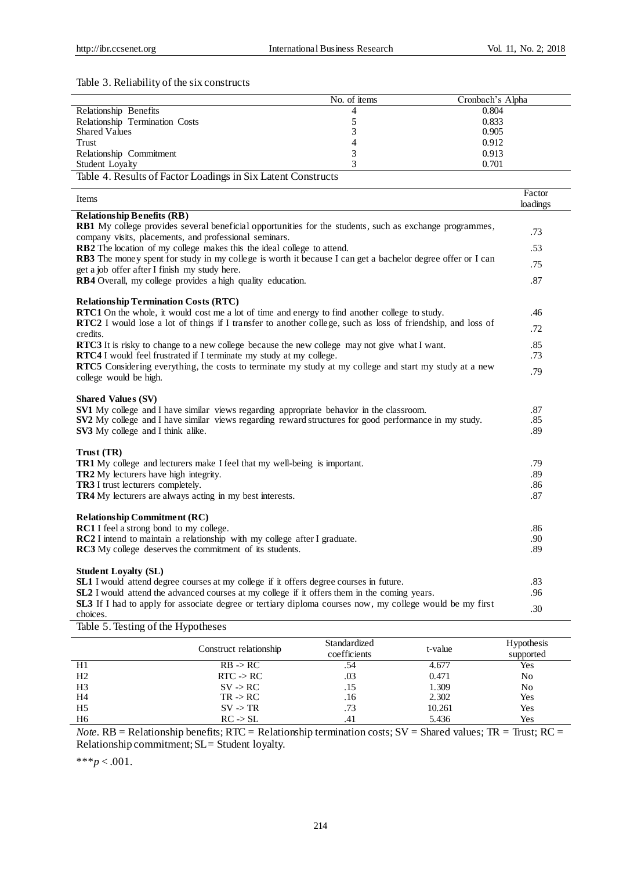l.

j.

# Table 3. Reliability of the six constructs

|                                  | No. of items | Cronbach's Alpha |
|----------------------------------|--------------|------------------|
| Relationship Benefits            |              | 0.804            |
| Relationship Termination Costs   |              | 0.833            |
| <b>Shared Values</b>             |              | 0.905            |
| Trust                            |              | 0.912            |
| Relationship Commitment          |              | 0.913            |
| Student Lovalty                  |              | 0.701            |
| $\sim$<br>.<br>_____<br>________ | $\sim$       |                  |

Table 4. Results of Factor Loadings in Six Latent Constructs

| Items                                                                                                                                                                                         | Factor<br>loadings |
|-----------------------------------------------------------------------------------------------------------------------------------------------------------------------------------------------|--------------------|
| <b>Relationship Benefits (RB)</b>                                                                                                                                                             |                    |
| <b>RB1</b> My college provides several beneficial opportunities for the students, such as exchange programmes,<br>company visits, placements, and professional seminars.                      | .73                |
| RB2 The location of my college makes this the ideal college to attend.                                                                                                                        | .53                |
| RB3 The money spent for study in my college is worth it because I can get a bachelor degree offer or I can<br>get a job offer after I finish my study here.                                   | .75                |
| RB4 Overall, my college provides a high quality education.                                                                                                                                    | .87                |
| <b>Relationship Termination Costs (RTC)</b>                                                                                                                                                   |                    |
| <b>RTC1</b> On the whole, it would cost me a lot of time and energy to find another college to study.                                                                                         | .46                |
| <b>RTC2</b> I would lose a lot of things if I transfer to another college, such as loss of friendship, and loss of<br>credits.                                                                | .72                |
| RTC3 It is risky to change to a new college because the new college may not give what I want.                                                                                                 | .85                |
| <b>RTC4</b> I would feel frustrated if I terminate my study at my college.                                                                                                                    | .73                |
| RTC5 Considering everything, the costs to terminate my study at my college and start my study at a new<br>college would be high.                                                              | .79                |
| <b>Shared Values (SV)</b>                                                                                                                                                                     |                    |
| <b>SV1</b> My college and I have similar views regarding appropriate behavior in the classroom.                                                                                               | .87                |
| SV2 My college and I have similar views regarding reward structures for good performance in my study.                                                                                         | .85                |
| SV3 My college and I think alike.                                                                                                                                                             | .89                |
| Trust (TR)                                                                                                                                                                                    |                    |
| TR1 My college and lecturers make I feel that my well-being is important.                                                                                                                     | .79                |
| TR2 My lecturers have high integrity.                                                                                                                                                         | .89                |
| TR3 I trust lecturers completely.                                                                                                                                                             | .86                |
| <b>TR4</b> My lecturers are always acting in my best interests.                                                                                                                               | .87                |
| <b>Relationship Commitment (RC)</b>                                                                                                                                                           |                    |
| RC1 I feel a strong bond to my college.                                                                                                                                                       | .86                |
| RC2 I intend to maintain a relationship with my college after I graduate.                                                                                                                     | .90                |
| <b>RC3</b> My college deserves the commitment of its students.                                                                                                                                | .89                |
|                                                                                                                                                                                               |                    |
| <b>Student Loyalty (SL)</b>                                                                                                                                                                   | .83                |
| SL1 I would attend degree courses at my college if it offers degree courses in future.<br><b>SL2</b> I would attend the advanced courses at my college if it offers them in the coming years. | .96                |
| <b>SL3</b> If I had to apply for associate degree or tertiary diploma courses now, my college would be my first                                                                               |                    |
| choices.                                                                                                                                                                                      | .30                |

Table 5. Testing of the Hypotheses

|                | Construct relationship | Standardized<br>coefficients | t-value | <b>Hypothesis</b><br>supported |
|----------------|------------------------|------------------------------|---------|--------------------------------|
| H1             | $RB \rightarrow RC$    |                              | 4.677   | Yes                            |
| H <sub>2</sub> | $RTC \rightarrow RC$   | .03                          | 0.471   | No                             |
| H <sub>3</sub> | $SV \rightarrow RC$    | .15                          | 1.309   | No                             |
| H <sub>4</sub> | $TR \rightarrow RC$    | .16                          | 2.302   | Yes                            |
| H <sub>5</sub> | $SV \rightarrow TR$    | .73                          | 10.261  | Yes                            |
| H6             | $RC \rightarrow SL$    |                              | 5.436   | Yes                            |

*Note.*  $RB = Relationship benefits; RTC = Relationship termination costs; SV = Shared values; TR = Trust; RC =$ Relationship commitment; SL = Student loyalty.

\*\*\**p* < .001.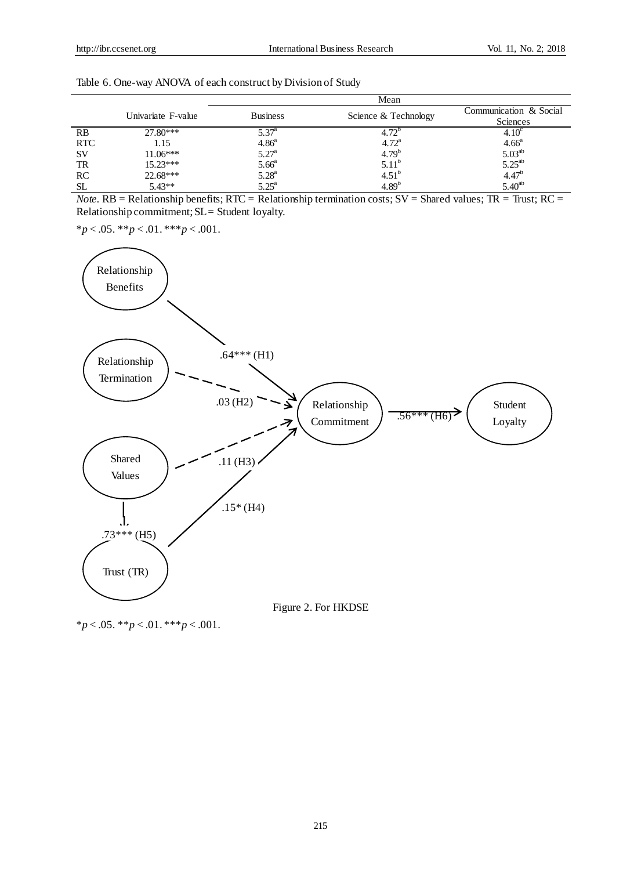\**p* < .05. \*\**p* < .01. \*\*\**p* < .001.

|            |                    | Mean              |                      |                                                      |  |  |
|------------|--------------------|-------------------|----------------------|------------------------------------------------------|--|--|
|            | Univariate F-value | <b>Business</b>   | Science & Technology | Communication & Social                               |  |  |
|            |                    |                   |                      | Sciences                                             |  |  |
| RB         | $27.80***$         | $5.37^{\circ}$    | $4.72^{\circ}$       | 4.10 <sup>c</sup>                                    |  |  |
| <b>RTC</b> | 1.15               | 4.86 <sup>a</sup> | $4.72^{\rm a}$       | $4.66^a$<br>5.03 <sup>ab</sup><br>5.25 <sup>ab</sup> |  |  |
| <b>SV</b>  | $11.06***$         | $5.27^{\rm a}$    | $4.79^{b}$           |                                                      |  |  |
| TR         | $15.23***$         | 5.66 <sup>a</sup> | $5.11^{b}$           |                                                      |  |  |
| RC         | $22.68***$         | $5.28^{a}$        | $4.51^{b}$           | $4.47^{b}$                                           |  |  |
| <b>SL</b>  | $5.43**$           | $5.25^{\rm a}$    | $4.89^{b}$           | $5.40^{ab}$                                          |  |  |

| Table 6. One-way ANOVA of each construct by Division of Study |  |  |  |
|---------------------------------------------------------------|--|--|--|
|                                                               |  |  |  |

*Note.* RB = Relationship benefits; RTC = Relationship termination costs;  $SV$  = Shared values; TR = Trust; RC = Relationship commitment; SL = Student loyalty.



Figure 2. For HKDSE

 $**p* < .05. **p* < .01. **p* < .001.$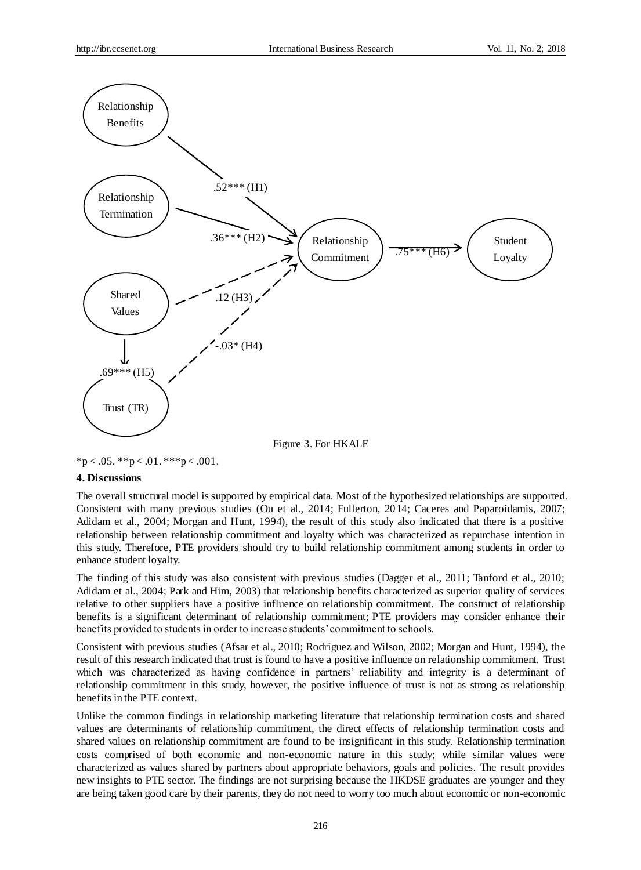

 $*p < .05.$   $* p < .01.$   $* * p < .001.$ 

# **4. Discussions**

The overall structural model is supported by empirical data. Most of the hypothesized relationships are supported. Consistent with many previous studies (Ou et al., 2014; Fullerton, 2014; Caceres and Paparoidamis, 2007; Adidam et al., 2004; Morgan and Hunt, 1994), the result of this study also indicated that there is a positive relationship between relationship commitment and loyalty which was characterized as repurchase intention in this study. Therefore, PTE providers should try to build relationship commitment among students in order to enhance student loyalty.

The finding of this study was also consistent with previous studies (Dagger et al., 2011; Tanford et al., 2010; Adidam et al., 2004; Park and Him, 2003) that relationship benefits characterized as superior quality of services relative to other suppliers have a positive influence on relationship commitment. The construct of relationship benefits is a significant determinant of relationship commitment; PTE providers may consider enhance their benefits provided to students in order to increase students' commitment to schools.

Consistent with previous studies (Afsar et al., 2010; Rodriguez and Wilson, 2002; Morgan and Hunt, 1994), the result of this research indicated that trust is found to have a positive influence on relationship commitment. Trust which was characterized as having confidence in partners' reliability and integrity is a determinant of relationship commitment in this study, however, the positive influence of trust is not as strong as relationship benefits in the PTE context.

Unlike the common findings in relationship marketing literature that relationship termination costs and shared values are determinants of relationship commitment, the direct effects of relationship termination costs and shared values on relationship commitment are found to be insignificant in this study. Relationship termination costs comprised of both economic and non-economic nature in this study; while similar values were characterized as values shared by partners about appropriate behaviors, goals and policies. The result provides new insights to PTE sector. The findings are not surprising because the HKDSE graduates are younger and they are being taken good care by their parents, they do not need to worry too much about economic or non-economic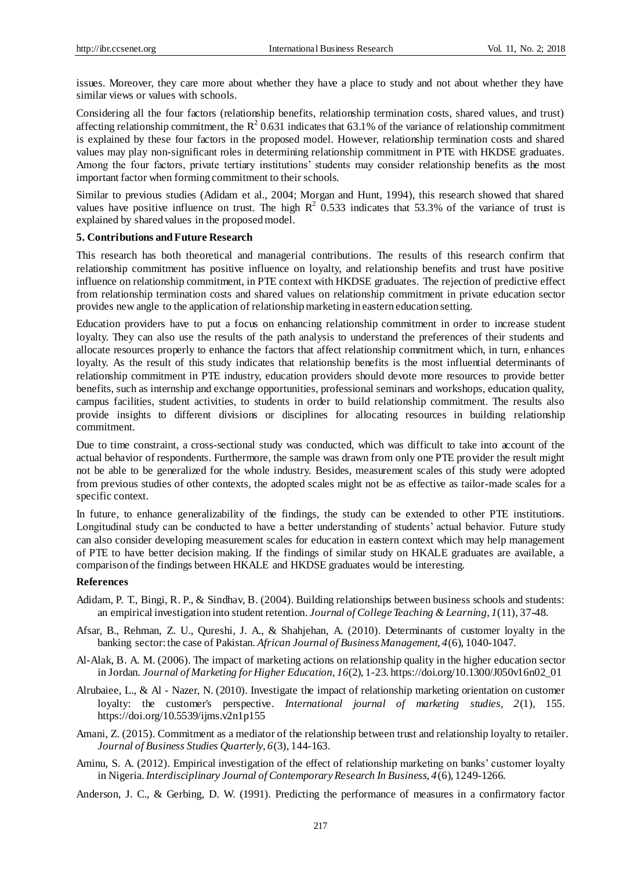issues. Moreover, they care more about whether they have a place to study and not about whether they have similar views or values with schools.

Considering all the four factors (relationship benefits, relationship termination costs, shared values, and trust) affecting relationship commitment, the  $R^2$  0.631 indicates that 63.1% of the variance of relationship commitment is explained by these four factors in the proposed model. However, relationship termination costs and shared values may play non-significant roles in determining relationship commitment in PTE with HKDSE graduates. Among the four factors, private tertiary institutions' students may consider relationship benefits as the most important factor when forming commitment to their schools.

Similar to previous studies (Adidam et al., 2004; Morgan and Hunt, 1994), this research showed that shared values have positive influence on trust. The high  $R^2$  0.533 indicates that 53.3% of the variance of trust is explained by shared values in the proposed model.

## **5. Contributions and Future Research**

This research has both theoretical and managerial contributions. The results of this research confirm that relationship commitment has positive influence on loyalty, and relationship benefits and trust have positive influence on relationship commitment, in PTE context with HKDSE graduates. The rejection of predictive effect from relationship termination costs and shared values on relationship commitment in private education sector provides new angle to the application of relationship marketing in eastern education setting.

Education providers have to put a focus on enhancing relationship commitment in order to increase student loyalty. They can also use the results of the path analysis to understand the preferences of their students and allocate resources properly to enhance the factors that affect relationship commitment which, in turn, enhances loyalty. As the result of this study indicates that relationship benefits is the most influential determinants of relationship commitment in PTE industry, education providers should devote more resources to provide better benefits, such as internship and exchange opportunities, professional seminars and workshops, education quality, campus facilities, student activities, to students in order to build relationship commitment. The results also provide insights to different divisions or disciplines for allocating resources in building relationship commitment.

Due to time constraint, a cross-sectional study was conducted, which was difficult to take into account of the actual behavior of respondents. Furthermore, the sample was drawn from only one PTE provider the result might not be able to be generalized for the whole industry. Besides, measurement scales of this study were adopted from previous studies of other contexts, the adopted scales might not be as effective as tailor-made scales for a specific context.

In future, to enhance generalizability of the findings, the study can be extended to other PTE institutions. Longitudinal study can be conducted to have a better understanding of students' actual behavior. Future study can also consider developing measurement scales for education in eastern context which may help management of PTE to have better decision making. If the findings of similar study on HKALE graduates are available, a comparison of the findings between HKALE and HKDSE graduates would be interesting.

#### **References**

- Adidam, P. T., Bingi, R. P., & Sindhav, B. (2004). Building relationships between business schools and students: an empirical investigation into student retention. *Journal of College Teaching & Learning, 1*(11), 37-48.
- Afsar, B., Rehman, Z. U., Qureshi, J. A., & Shahjehan, A. (2010). Determinants of customer loyalty in the banking sector: the case of Pakistan. *African Journal of Business Management, 4*(6), 1040-1047.
- Al-Alak, B. A. M. (2006). The impact of marketing actions on relationship quality in the higher education sector in Jordan. *Journal of Marketing for Higher Education, 16*(2), 1-23. https://doi.org/10.1300/J050v16n02\_01
- Alrubaiee, L., & Al Nazer, N. (2010). Investigate the impact of relationship marketing orientation on customer loyalty: the customer's perspective. *International journal of marketing studies, 2*(1), 155. https://doi.org/10.5539/ijms.v2n1p155
- Amani, Z. (2015). Commitment as a mediator of the relationship between trust and relationship loyalty to retailer. *Journal of Business Studies Quarterly, 6*(3), 144-163.
- Aminu, S. A. (2012). Empirical investigation of the effect of relationship marketing on banks' customer loyalty in Nigeria.*Interdisciplinary Journal of Contemporary Research In Business, 4*(6), 1249-1266.
- Anderson, J. C., & Gerbing, D. W. (1991). Predicting the performance of measures in a confirmatory factor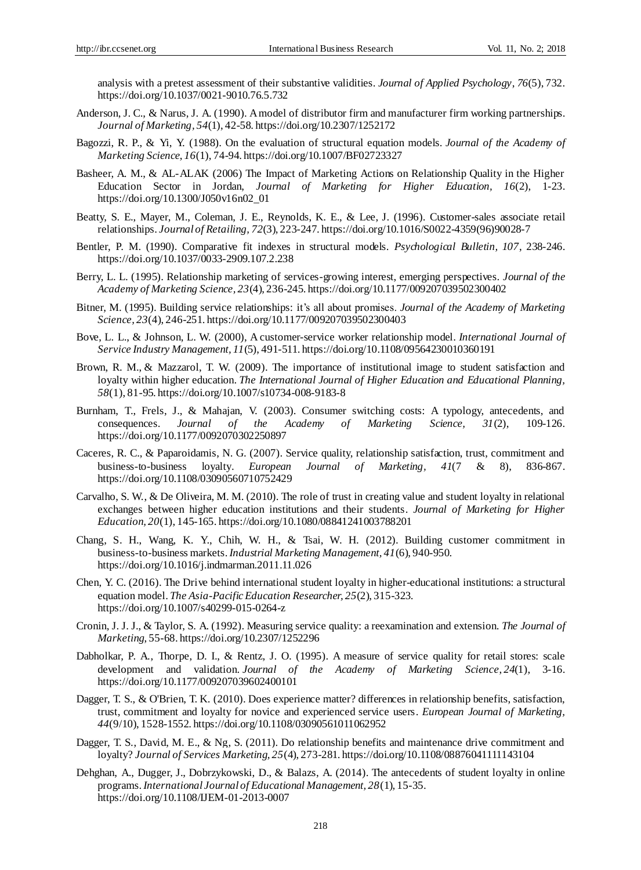analysis with a pretest assessment of their substantive validities. *Journal of Applied Psychology*, *76*(5), 732. https://doi.org/10.1037/0021-9010.76.5.732

- Anderson, J. C., & Narus, J. A. (1990). A model of distributor firm and manufacturer firm working partnerships. *Journal of Marketing, 54*(1), 42-58. https://doi.org/10.2307/1252172
- Bagozzi, R. P., & Yi, Y. (1988). On the evaluation of structural equation models. *Journal of the Academy of Marketing Science*, *16*(1), 74-94. https://doi.org/10.1007/BF02723327
- Basheer, A. M., & AL-ALAK (2006) The Impact of Marketing Actions on Relationship Quality in the Higher Education Sector in Jordan, *Journal of Marketing for Higher Education, 16*(2), 1-23. https://doi.org/10.1300/J050v16n02\_01
- Beatty, S. E., Mayer, M., Coleman, J. E., Reynolds, K. E., & Lee, J. (1996). Customer-sales associate retail relationships. *Journal of Retailing, 72*(3), 223-247. https://doi.org/10.1016/S0022-4359(96)90028-7
- Bentler, P. M. (1990). Comparative fit indexes in structural models. *Psychological Bulletin, 107*, 238-246. https://doi.org/10.1037/0033-2909.107.2.238
- Berry, L. L. (1995). Relationship marketing of services-growing interest, emerging perspectives. *Journal of the Academy of Marketing Science, 23*(4), 236-245. https://doi.org/10.1177/009207039502300402
- Bitner, M. (1995). Building service relationships: it's all about promises. *Journal of the Academy of Marketing Science, 23*(4), 246-251. https://doi.org/10.1177/009207039502300403
- Bove, L. L., & Johnson, L. W. (2000), A customer-service worker relationship model. *International Journal of Service Industry Management, 11*(5), 491-511. https://doi.org/10.1108/09564230010360191
- [Brown, R.](http://onesearch.lib.polyu.edu.hk/primo_library/libweb/action/search.do?vl(freeText0)=Brown%2c+Robert+M.+&vl(D4779322UI0)=creator&vl(D4779324UI3)=all_items&vl(1UIStartWith0)=exact&fn=search&tab=default_tab&mode=Advanced&vid=HKPU&scp.scps=scope%3a(HKPU_MILLENNIUM)%2cscope%3a(EBOOK)%2cscope%3a(REF)%2cscope%3a(SER)%2cscope%3a(HKPU_IR)%2cscope%3a(AV)%2cscope%3a(LOCALTV)%2cscope%3a(RESERVE)%2cscope%3a(EJOURNAL)%2cscope%3a(THESES)%2cscope%3a(BOOK)%2cscope%3a(COURSE_SCHEME)%2cscope%3a(HKPU_EXAM)%2cprimo_central_multiple_fe) M., & [Mazzarol, T.](http://onesearch.lib.polyu.edu.hk/primo_library/libweb/action/search.do?vl(freeText0)=+Mazzarol%2c+Timothy+William&vl(D4779322UI0)=creator&vl(D4779324UI3)=all_items&vl(1UIStartWith0)=exact&fn=search&tab=default_tab&mode=Advanced&vid=HKPU&scp.scps=scope%3a(HKPU_MILLENNIUM)%2cscope%3a(EBOOK)%2cscope%3a(REF)%2cscope%3a(SER)%2cscope%3a(HKPU_IR)%2cscope%3a(AV)%2cscope%3a(LOCALTV)%2cscope%3a(RESERVE)%2cscope%3a(EJOURNAL)%2cscope%3a(THESES)%2cscope%3a(BOOK)%2cscope%3a(COURSE_SCHEME)%2cscope%3a(HKPU_EXAM)%2cprimo_central_multiple_fe) W. (2009). The importance of institutional image to student satisfaction and loyalty within higher education. *The International Journal of Higher Education and Educational Planning, 58*(1), 81-95. https://doi.org/10.1007/s10734-008-9183-8
- Burnham, T., Frels, J., & Mahajan, V. (2003). Consumer switching costs: A typology, antecedents, and consequences. *Journal of the Academy of Marketing Science, 31*(2), 109-126. https://doi.org/10.1177/0092070302250897
- Caceres, R. C., & Paparoidamis, N. G. (2007). Service quality, relationship satisfaction, trust, commitment and business-to-business loyalty. *European Journal of Marketing, 41*(7 & 8), 836-867. https://doi.org/10.1108/03090560710752429
- Carvalho, S. W., & De Oliveira, M. M. (2010). The role of trust in creating value and student loyalty in relational exchanges between higher education institutions and their students. *Journal of Marketing for Higher Education, 20*(1), 145-165. https://doi.org/10.1080/08841241003788201
- Chang, S. H., Wang, K. Y., Chih, W. H., & Tsai, W. H. (2012). Building customer commitment in business-to-business markets.*Industrial Marketing Management, 41*(6), 940-950. https://doi.org/10.1016/j.indmarman.2011.11.026
- Chen, Y. C. (2016). The Drive behind international student loyalty in higher-educational institutions: a structural equation model. *The Asia-Pacific Education Researcher, 25*(2), 315-323. https://doi.org/10.1007/s40299-015-0264-z
- Cronin, J. J. J., & Taylor, S. A. (1992). Measuring service quality: a reexamination and extension. *The Journal of Marketing*, 55-68. https://doi.org/10.2307/1252296
- Dabholkar, P. A., Thorpe, D. I., & Rentz, J. O. (1995). A measure of service quality for retail stores: scale development and validation. *Journal of the Academy of Marketing Science*, *24*(1), 3-16. https://doi.org/10.1177/009207039602400101
- Dagger, T. S., & O'Brien, T. K. (2010). Does experience matter? differences in relationship benefits, satisfaction, trust, commitment and loyalty for novice and experienced service users. *European Journal of Marketing, 44*(9/10), 1528-1552. https://doi.org/10.1108/03090561011062952
- Dagger, T. S., David, M. E., & Ng, S. (2011). Do relationship benefits and maintenance drive commitment and loyalty? *Journal of Services Marketing, 25*(4), 273-281. https://doi.org/10.1108/08876041111143104
- Dehghan, A., Dugger, J., Dobrzykowski, D., & Balazs, A. (2014). The antecedents of student loyalty in online programs.*International Journal of Educational Management, 28*(1), 15-35. https://doi.org/10.1108/IJEM-01-2013-0007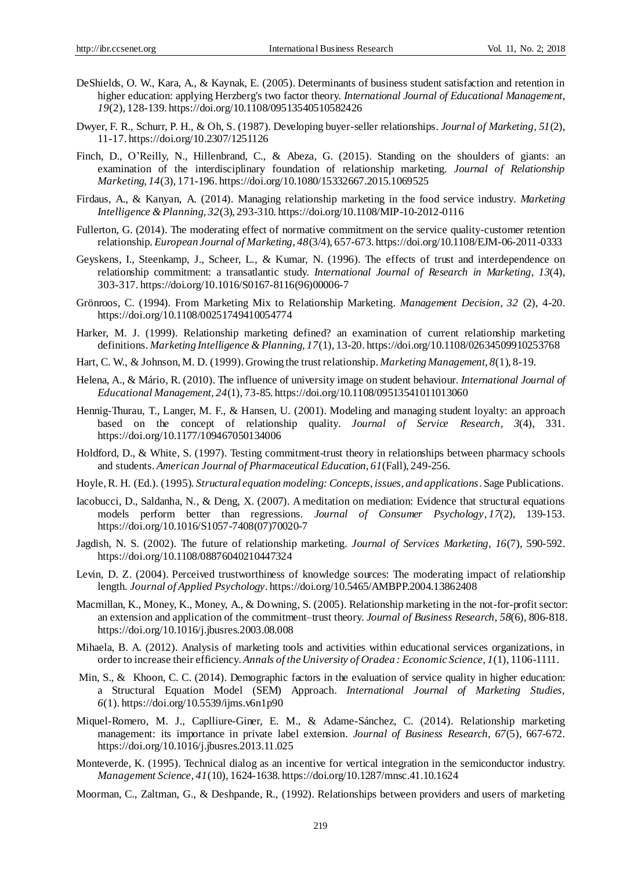- DeShields, O. W., Kara, A., & Kaynak, E. (2005). Determinants of business student satisfaction and retention in higher education: applying Herzberg's two factor theory. *International Journal of Educational Management*, *19*(2), 128-139. https://doi.org/10.1108/09513540510582426
- Dwyer, F. R., Schurr, P. H., & Oh, S. (1987). Developing buyer-seller relationships. *Journal of Marketing, 51*(2), 11-17. https://doi.org/10.2307/1251126
- Finch, D., O'Reilly, N., Hillenbrand, C., & Abeza, G. (2015). Standing on the shoulders of giants: an examination of the interdisciplinary foundation of relationship marketing. *Journal of Relationship Marketing, 14*(3), 171-196. https://doi.org/10.1080/15332667.2015.1069525
- Firdaus, A., & Kanyan, A. (2014). Managing relationship marketing in the food service industry. *Marketing Intelligence & Planning, 32*(3), 293-310. https://doi.org/10.1108/MIP-10-2012-0116
- Fullerton, G. (2014). The moderating effect of normative commitment on the service quality-customer retention relationship. *European Journal of Marketing, 48*(3/4), 657-673. https://doi.org/10.1108/EJM-06-2011-0333
- Geyskens, I., Steenkamp, J., Scheer, L., & Kumar, N. (1996). The effects of trust and interdependence on relationship commitment: a transatlantic study. *International Journal of Research in Marketing, 13*(4), 303-317. https://doi.org/10.1016/S0167-8116(96)00006-7
- Grönroos, C. (1994). From Marketing Mix to Relationship Marketing. *Management Decision, 32* (2), 4-20. https://doi.org/10.1108/00251749410054774
- Harker, M. J. (1999). Relationship marketing defined? an examination of current relationship marketing definitions. *Marketing Intelligence & Planning, 17*(1), 13-20. https://doi.org/10.1108/02634509910253768
- Hart, C. W., & Johnson, M. D. (1999). Growing the trust relationship. *Marketing Management, 8*(1), 8-19.
- Helena, A., & Mário, R. (2010). The influence of university image on student behaviour. *International Journal of Educational Management, 24*(1), 73-85. https://doi.org/10.1108/09513541011013060
- Hennig-Thurau, T., Langer, M. F., & Hansen, U. (2001). Modeling and managing student loyalty: an approach based on the concept of relationship quality. *Journal of Service Research, 3*(4), 331. https://doi.org/10.1177/109467050134006
- Holdford, D., & White, S. (1997). Testing commitment-trust theory in relationships between pharmacy schools and students. *American Journal of Pharmaceutical Education, 61*(Fall), 249-256.
- Hoyle,R. H. (Ed.). (1995). *Structural equation modeling: Concepts, issues, and applications*. Sage Publications.
- Iacobucci, D., Saldanha, N., & Deng, X. (2007). A meditation on mediation: Evidence that structural equations models perform better than regressions. *Journal of Consumer Psychology*, *17*(2), 139-153. https://doi.org/10.1016/S1057-7408(07)70020-7
- Jagdish, N. S. (2002). The future of relationship marketing. *Journal of Services Marketing, 16*(7), 590-592. https://doi.org/10.1108/08876040210447324
- Levin, D. Z. (2004). Perceived trustworthiness of knowledge sources: The moderating impact of relationship length. *Journal of Applied Psychology*. https://doi.org/10.5465/AMBPP.2004.13862408
- Macmillan, K., Money, K., Money, A., & Downing, S. (2005). Relationship marketing in the not-for-profit sector: an extension and application of the commitment–trust theory. *Journal of Business Research, 58*(6), 806-818. https://doi.org/10.1016/j.jbusres.2003.08.008
- Mihaela, B. A. (2012). Analysis of marketing tools and activities within educational services organizations, in order to increase their efficiency. *Annals of the University of Oradea : Economic Science, 1*(1), 1106-1111.
- [Min, S., &](http://onesearch.lib.polyu.edu.hk/primo_library/libweb/action/search.do?vl(freeText0)=Min%2c+Sein+&vl(D4779322UI0)=creator&vl(D4779324UI3)=all_items&vl(1UIStartWith0)=exact&fn=search&tab=default_tab&mode=Advanced&vid=HKPU&scp.scps=scope%3a(HKPU_MILLENNIUM)%2cscope%3a(EBOOK)%2cscope%3a(REF)%2cscope%3a(SER)%2cscope%3a(HKPU_IR)%2cscope%3a(AV)%2cscope%3a(LOCALTV)%2cscope%3a(RESERVE)%2cscope%3a(EJOURNAL)%2cscope%3a(THESES)%2cscope%3a(BOOK)%2cscope%3a(COURSE_SCHEME)%2cscope%3a(HKPU_EXAM)%2cprimo_central_multiple_fe) [Khoon, C. C.](http://onesearch.lib.polyu.edu.hk/primo_library/libweb/action/search.do?vl(freeText0)=+Khoon%2c+Chey+Chor&vl(D4779322UI0)=creator&vl(D4779324UI3)=all_items&vl(1UIStartWith0)=exact&fn=search&tab=default_tab&mode=Advanced&vid=HKPU&scp.scps=scope%3a(HKPU_MILLENNIUM)%2cscope%3a(EBOOK)%2cscope%3a(REF)%2cscope%3a(SER)%2cscope%3a(HKPU_IR)%2cscope%3a(AV)%2cscope%3a(LOCALTV)%2cscope%3a(RESERVE)%2cscope%3a(EJOURNAL)%2cscope%3a(THESES)%2cscope%3a(BOOK)%2cscope%3a(COURSE_SCHEME)%2cscope%3a(HKPU_EXAM)%2cprimo_central_multiple_fe) (2014). Demographic factors in the evaluation of service quality in higher education: a Structural Equation Model (SEM) Approach. *International Journal of Marketing Studies, 6*(1). https://doi.org/10.5539/ijms.v6n1p90
- Miquel-Romero, M. J., Caplliure-Giner, E. M., & Adame-Sánchez, C. (2014). Relationship marketing management: its importance in private label extension. *Journal of Business Research, 67*(5), 667-672. https://doi.org/10.1016/j.jbusres.2013.11.025
- Monteverde, K. (1995). Technical dialog as an incentive for vertical integration in the semiconductor industry. *Management Science, 41*(10), 1624-1638. https://doi.org/10.1287/mnsc.41.10.1624
- Moorman, C., Zaltman, G., & Deshpande, R., (1992). Relationships between providers and users of marketing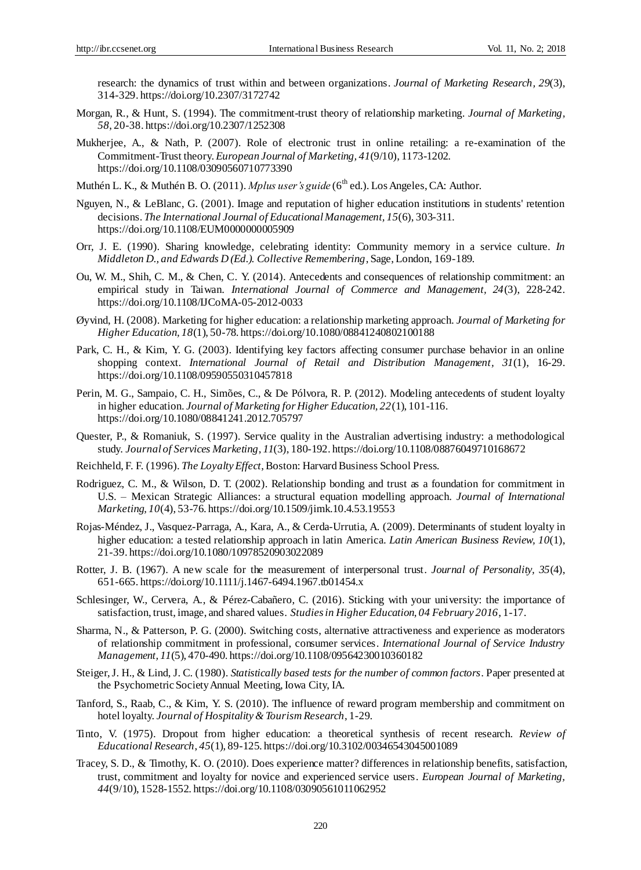research: the dynamics of trust within and between organizations. *Journal of Marketing Research, 29*(3), 314-329. https://doi.org/10.2307/3172742

- Morgan, R., & Hunt, S. (1994). The commitment-trust theory of relationship marketing. *Journal of Marketing, 58*, 20-38. https://doi.org/10.2307/1252308
- Mukherjee, A., & Nath, P. (2007). Role of electronic trust in online retailing: a re-examination of the Commitment-Trust theory. *European Journal of Marketing, 41*(9/10), 1173-1202. https://doi.org/10.1108/03090560710773390
- Muthén L. K., & Muthén B. O. (2011). *Mplus user's guide* (6<sup>th</sup> ed.). Los Angeles, CA: Author.
- Nguyen, N., & LeBlanc, G. (2001). Image and reputation of higher education institutions in students' retention decisions. *The International Journal of Educational Management, 15*(6), 303-311. https://doi.org/10.1108/EUM0000000005909
- Orr, J. E. (1990). Sharing knowledge, celebrating identity: Community memory in a service culture. *In Middleton D., and Edwards D (Ed.). Collective Remembering*, Sage, London, 169-189.
- Ou, W. M., Shih, C. M., & Chen, C. Y. (2014). Antecedents and consequences of relationship commitment: an empirical study in Taiwan. *International Journal of Commerce and Management, 24*(3), 228-242. https://doi.org/10.1108/IJCoMA-05-2012-0033
- Øyvind, H. (2008). Marketing for higher education: a relationship marketing approach. *Journal of Marketing for Higher Education, 18*(1), 50-78. https://doi.org/10.1080/08841240802100188
- Park, C. H., & Kim, Y. G. (2003). Identifying key factors affecting consumer purchase behavior in an online shopping context. *International Journal of Retail and Distribution Management, 31*(1), 16-29. https://doi.org/10.1108/09590550310457818
- Perin, M. G., Sampaio, C. H., Simões, C., & De Pólvora, R. P. (2012). Modeling antecedents of student loyalty in higher education. *Journal of Marketing for Higher Education, 22*(1), 101-116. https://doi.org/10.1080/08841241.2012.705797
- Quester, P., & Romaniuk, S. (1997). Service quality in the Australian advertising industry: a methodological study. *Journal of Services Marketing*, *11*(3), 180-192. https://doi.org/10.1108/08876049710168672
- Reichheld, F. F. (1996). *The Loyalty Effect*, Boston: Harvard Business School Press.
- Rodriguez, C. M., & Wilson, D. T. (2002). Relationship bonding and trust as a foundation for commitment in U.S. – Mexican Strategic Alliances: a structural equation modelling approach. *Journal of International Marketing, 10*(4), 53-76. https://doi.org/10.1509/jimk.10.4.53.19553
- Rojas-Méndez, J., Vasquez-Parraga, A., Kara, A., & Cerda-Urrutia, A. (2009). Determinants of student loyalty in higher education: a tested relationship approach in latin America. *Latin American Business Review, 10*(1), 21-39. https://doi.org/10.1080/10978520903022089
- Rotter, J. B. (1967). A new scale for the measurement of interpersonal trust. *Journal of Personality, 35*(4), 651-665. https://doi.org/10.1111/j.1467-6494.1967.tb01454.x
- Schlesinger, W., Cervera, A., & Pérez-Cabañero, C. (2016). Sticking with your university: the importance of satisfaction, trust, image, and shared values. *Studies in Higher Education, 04 February 2016*, 1-17.
- Sharma, N., & Patterson, P. G. (2000). Switching costs, alternative attractiveness and experience as moderators of relationship commitment in professional, consumer services. *International Journal of Service Industry Management, 11*(5), 470-490. https://doi.org/10.1108/09564230010360182
- Steiger,J. H., & Lind, J. C. (1980). *Statistically based tests for the number of common factors*. Paper presented at the Psychometric Society Annual Meeting, Iowa City, IA.
- Tanford, S., Raab, C., & Kim, Y. S. (2010). The influence of reward program membership and commitment on hotel loyalty. *Journal of Hospitality & Tourism Research*, 1-29.
- Tinto, V. (1975). Dropout from higher education: a theoretical synthesis of recent research. *Review of Educational Research*, *45*(1), 89-125. https://doi.org/10.3102/00346543045001089
- Tracey, S. D., & Timothy, K. O. (2010). Does experience matter? differences in relationship benefits, satisfaction, trust, commitment and loyalty for novice and experienced service users. *European Journal of Marketing, 44*(9/10), 1528-1552. https://doi.org/10.1108/03090561011062952